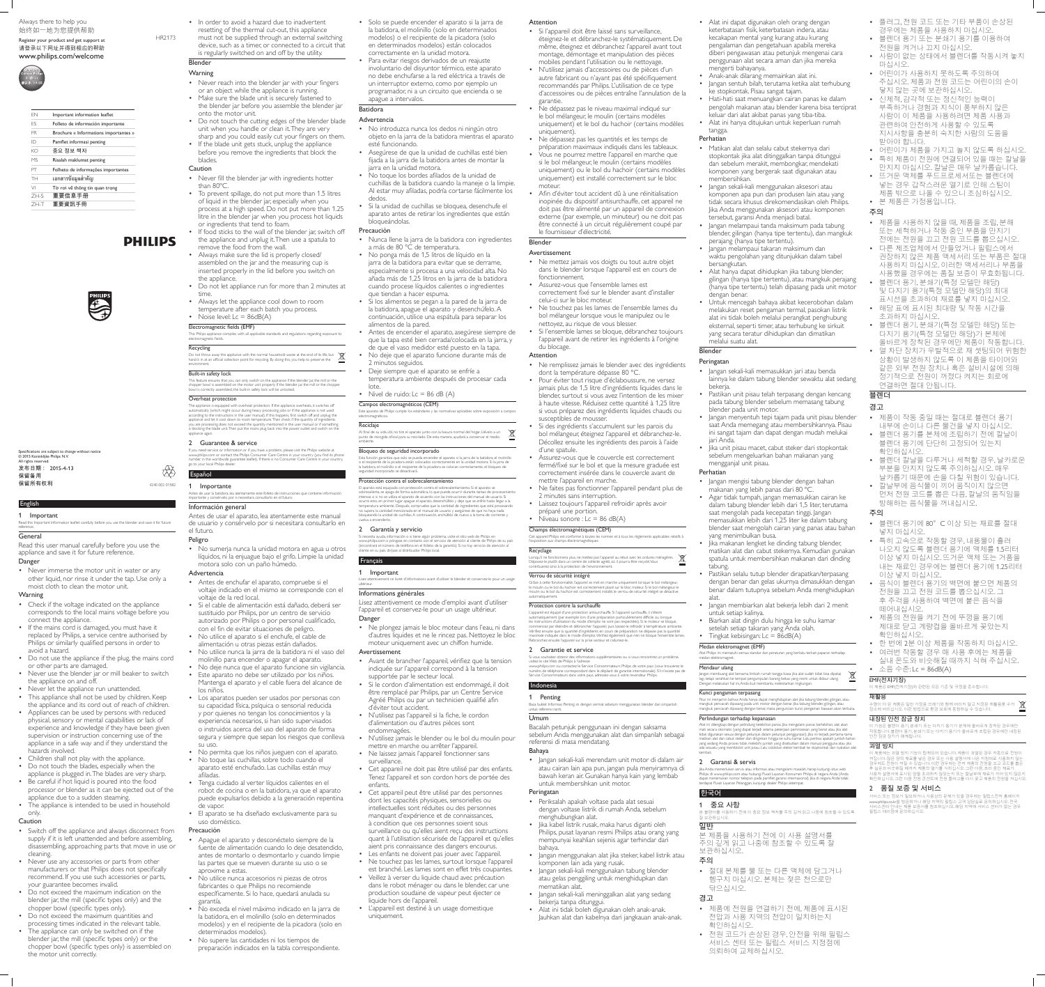## English

**Important** Read this Important Information leaflet carefully before you use the blender and save it for future reference.

**General** 

• Never immerse the motor unit in water or any other liquid, nor rinse it under the tap. Use only a moist cloth to clean the motor unit.

**Warning** 

Read this user manual carefully before you use the appliance and save it for future reference. Danger

- Check if the voltage indicated on the appliance corresponds to the local mains voltage before you connect the appliance.
- If the mains cord is damaged, you must have it replaced by Philips, a service centre authorised by Philips or similarly qualified persons in order to avoid a hazard.
- Do not use the appliance if the plug, the mains cord
- or other parts are damaged. • Never use the blender jar or mill beaker to switch
- the appliance on and off.
- Never let the appliance run unattended.
- This appliance shall not be used by children. Keep the appliance and its cord out of reach of children.
- Appliances can be used by persons with reduced physical, sensory or mental capabilities or lack of experience and knowledge if they have been given supervision or instruction concerning use of the appliance in a safe way and if they understand the hazards involved.
- Children shall not play with the appliance.
- Do not touch the blades, especially when the
- appliance is plugged in. The blades are very sharp. • Be careful if hot liquid is poured into the food processor or blender as it can be ejected out of the appliance due to a sudden steaming.

## • The appliance is intended to be used in household only.

Caution

- Switch off the appliance and always disconnect from supply if it is left unattended and before assembling, disassembling, approaching parts that move in use or cleaning.
- Never use any accessories or parts from other manufacturers or that Philips does not specifically recommend. If you use such accessories or parts, your guarantee becomes invalid.
- Do not exceed the maximum indication on the blender jar, the mill (specific types only) and the chopper bowl (specific types only).
- Do not exceed the maximum quantities and processing times indicated in the relevant table.
- The appliance can only be switched on if the blender jar, the mill (specific types only) or the chopper bowl (specific types only) is assembled on the motor unit correctly.

Do not throw away the appliance with the normal household waste at the end of its life, but \\\\\ hand it in at an official collection point for recycling. By doing this, you help to preserve the environment.

**Built-in safety lock** This feature ensures that you can only switch on the appliance if the blender jar, the mill or the

- In order to avoid a hazard due to inadvertent resetting of the thermal cut-out, this appliance
- must not be supplied through an external switching device, such as a timer, or connected to a circuit that is regularly switched on and off by the utility. Blender

# **Warning**

- Never reach into the blender jar with your fingers or an object while the appliance is running.
- Make sure the blade unit is securely fastened to the blender jar before you assemble the blender jar
- onto the motor unit. • Do not touch the cutting edges of the blender blade unit when you handle or clean it. They are very sharp and you could easily cut your fingers on them.
- If the blade unit gets stuck, unplug the appliance before you remove the ingredients that block the blades.

• No sumerja nunca la unidad motora en agua u otros líquidos, ni la enjuague bajo el grifo. Limpie la unidad motora solo con un paño húmedo.

## Caution

- Never fill the blender jar with ingredients hotter than 80ºC.
- To prevent spillage, do not put more than 1.5 litres of liquid in the blender jar, especially when you process at a high speed. Do not put more than 1.25 litre in the blender jar when you process hot liquids or ingredients that tend to foam.
- If food sticks to the wall of the blender jar, switch off the appliance and unplug it. Then use a spatula to remove the food from the wall.
- Always make sure the lid is properly closed/ assembled on the jar and the measuring cup is inserted properly in the lid before you switch on
- the appliance. • Do not let appliance run for more than 2 minutes at
- time. • Always let the appliance cool down to room
- temperature after each batch you process.
- Noise level:  $Lc = 86dB(A)$ Electromagnetic fields (EMF)

This Philips appliance complies with all applicable standards and regulations regarding exposure to electromagnetic fields.

## **Recycling**

chopper bowl is assembled on the motor unit properly. If the blender jar, the mill or the chopper bowl is correctly assembled, the built-in safety lock will be unlocked Overheat protection

The appliance is equipped with overheat protection. If the appliance overheats, it switches of automatically (which might occur during heavy processing jobs or if the appliance is not used according to the instructions in the user manual). If this happens, first switch off and unplug the appliance and let it cool down to room temperature. Then check if the quantity of ingredients you are processing does not exceed the quantity mentioned in the user manual or if something is blocking the blade unit. Then put the mains plug back into the power outlet and switch on the appliance again

- No introduzca nunca los dedos ni ningún otro objeto en la jarra de la batidora mientras el aparato esté funcionando.
- Asegúrese de que la unidad de cuchillas esté bien fijada a la jarra de la batidora antes de montar la jarra en la unidad motora.
- No toque los bordes afilados de la unidad de cuchillas de la batidora cuando la maneje o la limpie. Al estar muy afiladas, podría cortarse fácilmente los dedos.
- Si la unidad de cuchillas se bloquea, desenchufe el aparato antes de retirar los ingredientes que están bloqueándolas.

## 2 Guarantee & service

Este aparato de Philips cumple los estándares y las normativas aplicables sobre exposición a campos electromagnéticos. **Reciclaje** 

If you need service or information or if you have a problem, please visit the Philips website at www.philips.com or contact the Philips Consumer Care Centre in your country (you find its phone number in the worldwide guarantee leaflet). If there is no Consumer Care Centre in your country, go to your local Philips dealer. Español

# 1 Importante

Antes de usar la batidora, lea atentamente este folleto de instrucciones que contiene información importante y consérvelo por si necesitara consultarlo en el futuro.

## Información general

Antes de usar el aparato, lea atentamente este manual de usuario y consérvelo por si necesitara consultarlo en el futuro.

### Peligro

## Advertencia

• Ne plongez jamais le bloc moteur dans l'eau, ni dans d'autres liquides et ne le rincez pas. Nettoyez le bloc

mettre en marche ou arrêter l'appareil. • Ne laissez jamais l'appareil fonctionner sans

- Antes de enchufar el aparato, compruebe si el voltaje indicado en el mismo se corresponde con el voltaje de la red local.
- Si el cable de alimentación está dañado, deberá ser sustituido por Philips, por un centro de servicio autorizado por Philips o por personal cualificado,
- con el fin de evitar situaciones de peligro. • No utilice el aparato si el enchufe, el cable de
- alimentación u otras piezas están dañados.
- No utilice nunca la jarra de la batidora ni el vaso del
- molinillo para encender o apagar el aparato.
- No deje nunca que el aparato funcione sin vigilancia. • Este aparato no debe ser utilizado por los niños. Mantenga el aparato y el cable fuera del alcance de
- los niños. • Los aparatos pueden ser usados por personas con su capacidad física, psíquica o sensorial reducida y por quienes no tengan los conocimientos y la experiencia necesarios, si han sido supervisados o instruidos acerca del uso del aparato de forma segura y siempre que sepan los riesgos que conlleva su uso.
- No permita que los niños jueguen con el aparato. • No toque las cuchillas, sobre todo cuando el aparato esté enchufado. Las cuchillas están muy afiladas.
- Tenga cuidado al verter líquidos calientes en el robot de cocina o en la batidora, ya que el aparato puede expulsarlos debido a la generación repentina de vapor.
- El aparato se ha diseñado exclusivamente para su uso doméstico.

• Veillez à verser du liquide chaud avec précaution dans le robot ménager ou dans le blender, car une production soudaine de vapeur peut éjecter ce

### Precaución

- Apague el aparato y desconéctelo siempre de la fuente de alimentación cuando lo deje desatendido, antes de montarlo o desmontarlo y cuando limpie las partes que se mueven durante su uso o se aproxime a estas.
- No utilice nunca accesorios ni piezas de otros fabricantes o que Philips no recomiende específicamente. Si lo hace, quedará anulada su garantía.
- No exceda el nivel máximo indicado en la jarra de la batidora, en el molinillo (solo en determinados modelos) y en el recipiente de la picadora (solo en determinados modelos).
- No supere las cantidades ni los tiempos de preparación indicados en la tabla correspondiente.
- Ne mettez jamais vos doigts ou tout autre objet dans le blender lorsque l'appareil est en cours de fonctionnement.
- Assurez-vous que l'ensemble lames est correctement fixé sur le blender avant d'installer celui-ci sur le bloc moteur.
- Ne touchez pas les lames de l'ensemble lames du bol mélangeur lorsque vous le manipulez ou le nettoyez, au risque de vous blesser.
- Si l'ensemble lames se bloque, débranchez toujours l'appareil avant de retirer les ingrédients à l'origine du blocage.

4240 002 01582

爸

| FN        | Important information leaflet         |
|-----------|---------------------------------------|
| FS        | Folleto de información importante     |
| FR.       | Brochure « Informations importantes » |
| ID        | Pamflet informasi penting             |
| КO        | 중요 정보 책자                              |
| <b>MS</b> | Risalah maklumat penting              |
| PТ        | Folheto de informações importantes    |
| TH        | เอกสารข้อมูลสำคัญ                     |
| VI        | Tờ rơi về thông tin quan trong        |
| $7H-S$    | 重要信息手册                                |
| 7H-T      | 重要資訊手冊                                |





HR2173

- Ne remplissez jamais le blender avec des ingrédients dont la température dépasse 80 °C.
- Pour éviter tout risque d'éclaboussure, ne versez jamais plus de 1,5 litre d'ingrédients liquides dans le blender, surtout si vous avez l'intention de les mixer à haute vitesse. Réduisez cette quantité à 1,25 litre si vous préparez des ingrédients liquides chauds ou susceptibles de mousser.
- Si des ingrédients s'accumulent sur les parois du bol mélangeur, éteignez l'appareil et débranchez-le. Décollez ensuite les ingrédients des parois à l'aide d'une spatule.
- Assurez-vous que le couvercle est correctement fermé/fixé sur le bol et que la mesure graduée est correctement insérée dans le couvercle avant de mettre l'appareil en marche.
- Ne faites pas fonctionner l'appareil pendant plus de 2 minutes sans interruption.
- Laissez toujours l'appareil refroidir après avoir préparé une portion.

• Niveau sonore :  $Lc = 86$  dB(A)

Always there to help you 始终如一地为您提供帮助 Register your product and get support at 请登录以下网址并得到相应的帮助 www.philips.com/welcome



Lorsqu'il ne fonctionnera plus, ne mettez pas l'appareil au rebut avec les ordures ménagères. \\\ Déposez-le plutôt dans un centre de collecte agréé, où il pourra être recyclé. Vous contribuerez ainsi à la protection de l'environnement.

- Solo se puede encender el aparato si la jarra de la batidora, el molinillo (solo en determinados modelos) o el recipiente de la picadora (solo en determinados modelos) están colocados
- correctamente en la unidad motora. • Para evitar riesgos derivados de un reajuste involuntario del disyuntor térmico, este aparato no debe enchufarse a la red eléctrica a través de un interruptor externo, como por ejemplo un programador, ni a un circuito que encienda o se apague a intervalos.

### Batidora Advertencia

1 Penting Baca buklet Informasi Penting ini dengan cermat sebelum menggunakan blender dan simpanlah untuk referensi nanti

## Precaución

- Nunca llene la jarra de la batidora con ingredientes a más de 80 °C de temperatura. • No ponga más de 1,5 litros de líquido en la
- jarra de la batidora para evitar que se derrame, especialmente si procesa a una velocidad alta. No añada más de 1,25 litros en la jarra de la batidora cuando procese líquidos calientes o ingredientes que tiendan a hacer espuma.
- Si los alimentos se pegan a la pared de la jarra de la batidora, apague el aparato y desenchúfelo. A continuación, utilice una espátula para separar los alimentos de la pared.
- Antes de encender el aparato, asegúrese siempre de que la tapa esté bien cerrada/colocada en la jarra, y de que el vaso medidor esté puesto en la tapa.
- No deje que el aparato funcione durante más de 2 minutos seguidos.
- Deje siempre que el aparato se enfríe a temperatura ambiente después de procesar cada lote.

### • Nivel de ruido:  $Lc = 86$  dB  $(A)$

Campos electromagnéticos (CEM)

Al final de su vida útil, no tire el aparato junto con la basura normal del hogar. Llévelo a un punto de recogida oficial para su reciclado. De esta manera, ayudará a conservar el medio ambiente.

## Bloqueo de seguridad incorporado

Esta función garantiza que solo se pueda encender el aparato si la jarra de la batidora, el molinillo o el recipiente de la picadora están colocados correctamente en la unidad motora. Si la jarra de la batidora, el molinillo o el recipiente de la picadora se colocan correctamente, el bloqueo de seguridad incorporado se desactivará.

- Jangan mengisi tabung blender dengan bahan makanan yang lebih panas dari 80 ºC.
- Agar tidak tumpah, jangan memasukkan cairan ke dalam tabung blender lebih dari 1,5 liter, terutama saat mengolah pada kecepatan tinggi. Jangan memasukkan lebih dari 1,25 liter ke dalam tabung blender saat mengolah cairan yang panas atau bahan yang menimbulkan busa.
- Jika makanan lengket ke dinding tabung blender, matikan alat dan cabut stekernya. Kemudian gunakan spatula untuk membersihkan makanan dari dinding tabung.
- Pastikan selalu tutup blender dirapatkan/terpasang dengan benar dan gelas ukurnya dimasukkan dengan benar dalam tutupnya sebelum Anda menghidupkan alat.
- Jangan membiarkan alat bekerja lebih dari 2 menit untuk setiap kalinya.
- Biarkan alat dingin dulu hingga ke suhu kamar setelah setiap takaran yang Anda olah.
- Tingkat kebisingan:  $Lc = 86dB(A)$

### Protección contra el sobrecalentamiento

El aparato está equipado con protección contra el sobrecalentamiento. Si el aparato se sobrecalienta, se apaga de forma automática, lo que puede ocurrir durante tareas de procesamiento ntensas o si no se utiliza el aparato de acuerdo con las instrucciones del manual de usuario. Si ocurre esto, en primer lugar apague el aparato, desenchúfelo y deje que se enfríe hasta llegar a la temperatura ambiente. Después, compruebe que la cantidad de ingredientes que está procesando no supera la cantidad mencionada en el manual de usuario y asegúrese de que no haya nada bloqueando la unidad de cuchillas. A continuación, enchúfelo de nuevo a la toma de corriente y vuelva a encenderlo.

#### 2 Garantía y servicio Si necesita ayuda, información o si tiene algún problema, visite el sitio web de Philips en

www.philips.com o póngase en contacto con el servicio de atención al cliente de Philips de su país (encontrará el número de teléfono en el folleto de la garantía). Si no hay servicio de atención al

cliente en su país, diríjase al distribuidor Philips local.

1 Important

Lisez attentivement ce livret d'informations avant d'utiliser le blender et conservez-le pour un usage

ultérieur.

Informations générales

**Français** 

Lisez attentivement ce mode d'emploi avant d'utiliser l'appareil et conservez-le pour un usage ultérieur.

Danger

moteur uniquement avec un chiffon humide.

Avertissement

• Avant de brancher l'appareil, vérifiez que la tension indiquée sur l'appareil correspond à la tension

supportée par le secteur local.

• Si le cordon d'alimentation est endommagé, il doit être remplacé par Philips, par un Centre Service Agréé Philips ou par un technicien qualifié afin

d'éviter tout accident.

• N'utilisez pas l'appareil si la fiche, le cordon d'alimentation ou d'autres pièces sont

endommagées.

• N'utilisez jamais le blender ou le bol du moulin pour

surveillance.

• Cet appareil ne doit pas être utilisé par des enfants. Tenez l'appareil et son cordon hors de portée des

enfants.

• Cet appareil peut être utilisé par des personnes dont les capacités physiques, sensorielles ou intellectuelles sont réduites ou des personnes manquant d'expérience et de connaissances, à condition que ces personnes soient sous

surveillance ou qu'elles aient reçu des instructions quant à l'utilisation sécurisée de l'appareil et qu'elles aient pris connaissance des dangers encourus. • Les enfants ne doivent pas jouer avec l'appareil. • Ne touchez pas les lames, surtout lorsque l'appareil est branché. Les lames sont en effet très coupantes.

liquide hors de l'appareil.

• L'appareil est destiné à un usage domestique

uniquement.

### Attention

- Si l'appareil doit être laissé sans surveillance, éteignez-le et débranchez-le systématiquement. De même, éteignez et débranchez l'appareil avant tout montage, démontage et manipulation des pièces mobiles pendant l'utilisation ou le nettoyage.
- N'utilisez jamais d'accessoires ou de pièces d'un autre fabricant ou n'ayant pas été spécifiquement recommandés par Philips. L'utilisation de ce type d'accessoires ou de pièces entraîne l'annulation de la garantie.
- Ne dépassez pas le niveau maximal indiqué sur le bol mélangeur, le moulin (certains modèles uniquement) et le bol du hachoir (certains modèles uniquement).
- Ne dépassez pas les quantités et les temps de préparation maximaux indiqués dans les tableaux.
- Vous ne pourrez mettre l'appareil en marche que si le bol mélangeur, le moulin (certains modèles uniquement) ou le bol du hachoir (certains modèles uniquement) est installé correctement sur le bloc moteur.
- Afin d'éviter tout accident dû à une réinitialisation inopinée du dispositif antisurchauffe, cet appareil ne doit pas être alimenté par un appareil de connexion externe (par exemple, un minuteur) ou ne doit pas être connecté à un circuit régulièrement coupé par le fournisseur d'électricité.

## Blender

### Avertissement

### Attention

Champs électromagnétiques (CEM)

Cet appareil Philips est conforme à toutes les normes et à tous les règlements applicables relatifs à l'exposition aux champs électromagnétiques.

### **Recyclage**

### Verrou de sécurité intégré

Grâce à cette fonctionnalité, l'appareil se met en marche uniquement lorsque le bol mélangeur, le moulin ou le bol du hachoir est correctement placé sur le bloc moteur. Si le bol mélangeur, le moulin ou le bol du hachoir est correctement installé, le verrou de sécurité intégré se désactive automatiquement.

### Protection contre la surchauffe

L'appareil est équipé d'une protection antisurchauffe. Si l'appareil surchauffe, il s'éteint automatiquement (par exemple lors d'une préparation particulièrement difficile ou lorsque les instructions d'utilisation du mode d'emploi ne sont pas respectées). Si le moteur se bloque, commencez par éteindre et débrancher l'appareil, puis laissez-le refroidir à température ambiante. Vérifiez ensuite que la quantité d'ingrédients en cours de préparation ne dépasse pas la quantité maximale indiquée dans le mode d'emploi. Vérifiez également que rien ne bloque l'ensemble lames. Rebranchez ensuite l'appareil sur la prise secteur et rallumez-le.

### 2 Garantie et service

Si vous souhaitez obtenir des informations supplémentaires ou si vous rencontrez un problème, visitez le site Web de Philips à l'adresse www.philips.com ou contactez le Service Consommateurs Philips de votre pays (vous trouverez le numéro de téléphone correspondant dans le dépliant de garantie internationale). S'il n'existe pas de Service Consommateurs dans votre pays, adressez-vous à votre revendeur Philips.

## Indonesia

### Umum

Bacalah petunjuk penggunaan ini dengan saksama sebelum Anda menggunakan alat dan simpanlah sebagai referensi di masa mendatang.

### Bahaya

• Jangan sekali-kali merendam unit motor di dalam air atau cairan lain apa pun, jangan pula menyiramnya di bawah keran air. Gunakan hanya kain yang lembab untuk membersihkan unit motor.

### Peringatan

- Periksalah apakah voltase pada alat sesuai dengan voltase listrik di rumah Anda, sebelum menghubungkan alat.
- Jika kabel listrik rusak, maka harus diganti oleh Philips, pusat layanan resmi Philips atau orang yang mempunyai keahlian sejenis agar terhindar dari bahaya.
- Jangan menggunakan alat jika steker, kabel listrik atau komponen lain ada yang rusak.
- Jangan sekali-kali menggunakan tabung blender atau gelas penggiling untuk menghidupkan dan mematikan alat.
- Jangan sekali-kali meninggalkan alat yang sedang bekerja tanpa ditunggui. • Alat ini tidak boleh digunakan oleh anak-anak.
- Jauhkan alat dan kabelnya dari jangkauan anak-anak.
- Alat ini dapat digunakan oleh orang dengan keterbatasan fisik, keterbatasan indera, atau kecakapan mental yang kurang atau kurang pengalaman dan pengetahuan apabila mereka diberi pengawasan atau petunjuk mengenai cara penggunaan alat secara aman dan jika mereka mengerti bahayanya.
- Anak-anak dilarang memainkan alat ini.
- Jangan sentuh bilah, terutama ketika alat terhubung ke stopkontak. Pisau sangat tajam.
- Hati-hati saat menuangkan cairan panas ke dalam pengolah makanan atau blender karena bisa terciprat keluar dari alat akibat panas yang tiba-tiba.
- Alat ini hanya ditujukan untuk keperluan rumah tangga. **Perhatian**
- 
- Matikan alat dan selalu cabut stekernya dari stopkontak jika alat ditinggalkan tanpa ditunggui dan sebelum merakit, membongkar, mendekati komponen yang bergerak saat digunakan atau membersihkan.
- Jangan sekali-kali menggunakan aksesori atau komponen apa pun dari produsen lain atau yang tidak secara khusus direkomendasikan oleh Philips. Jika Anda menggunakan aksesori atau komponen tersebut, garansi Anda menjadi batal.
- Jangan melampaui tanda maksimum pada tabung blender, gilingan (hanya tipe tertentu), dan mangkuk perajang (hanya tipe tertentu).
- Jangan melampaui takaran maksimum dan waktu pengolahan yang ditunjukkan dalam tabel bersangkutan.
- Alat hanya dapat dihidupkan jika tabung blender, gilingan (hanya tipe tertentu), atau mangkuk perajang (hanya tipe tertentu) telah dipasang pada unit motor dengan benar.
- Untuk mencegah bahaya akibat kecerobohan dalam melakukan reset pengaman termal, pasokan listrik alat ini tidak boleh melalui perangkat penghubung eksternal, seperti timer, atau terhubung ke sirkuit yang secara teratur dihidupkan dan dimatikan melalui suatu alat.

## Blender

## Peringatan

- Jangan sekali-kali memasukkan jari atau benda lainnya ke dalam tabung blender sewaktu alat sedang bekerja.
- Pastikan unit pisau telah terpasang dengan kencang pada tabung blender sebelum memasang tabung blender pada unit motor.
- Jangan menyentuh tepi tajam pada unit pisau blender saat Anda memegang atau membersihkannya. Pisau ini sangat tajam dan dapat dengan mudah melukai jari Anda.
- Jika unit pisau macet, cabut steker dari stopkontak sebelum mengeluarkan bahan makanan yang mengganjal unit pisau.

### Perhatian

Medan elektromagnet (EMF) Alat Philips ini mematuhi semua standar dan peraturan yang berlaku terkait paparan terhadap medan elektromagnet.

### Mendaur ulang

Jangan membuang alat bersama limbah rumah tangga biasa jika alat sudah tidak bisa dipakai lagi, tetapi serahkan ke tempat pengumpulan barang bekas yang resmi untuk didaur ulang. Dengan melakukan hal ini, Anda ikut membantu melestarikan lingkungan.

#### Kunci pengaman terpasang Fitur ini menjamin bahwa Anda hanya dapat menghidupkan alat jika tabung blender, gilingan, atau mangkuk pencacah dipasang pada unit motor dengan benar. Jika tabung blender, gilingan, atau mangkuk pencacah dipasang dengan benar, maka penguncian kunci pengaman bawaan akan terbuka.

Perlindungan terhadap kepanasan Alat ini dilengkapi dengan pelindung kelebihan panas. Jika mengalami panas berlebihan, alat akan

mati secara otomatis (yang dapat terjadi selama pekerjaan pemrosesan yang berat atau jika alat tidak digunakan sesuai dengan petunjuk dalam petunjuk penggunaan). Jika ini terjadi, pertama-tama matikan alat dan cabut steker dan dinginkan hingga ke suhu kamar. Lalu periksa apakah jumlah bahan yang sedang Anda proses tidak melebihi jumlah yang disebutkan dalam manual pengguna atau jika ada sesuatu yang memblokir unit pisau. Lalu colokkan steker kembali ke stopkontak dan nyalakan alat

kembali.

### 2 Garansi & servis

Jika Anda memerlukan servis atau informasi atau mengalami masalah, harap kunjungi situs web Philips di www.philips.com atau hubungi Pusat Layanan Konsumen Philips di negara Anda (Anda dapat menemukan nomor telepon pada pamflet garansi internasional). Jika di negara Anda tidak terdapat Pusat Layanan Pelanggan, kunjungi dealer Philips setempat.

## **한국어**

1 **중요 사항** 본 블렌더를 사용하기 전에 이 중요 정보 책자를 주의 깊게 읽고 나중에 참조할 수 있도록 잘 보관하십시오.

## **일반** 본 제품을 사용하기 전에 이 사용 설명서를

- 주의 깊게 읽고 나중에 참조할 수 있도록 잘 보관하십시오.
- **주의**
- 절대 본체를 물 또는 다른 액체에 담그거나 헹구지 마십시오. 본체는 젖은 천으로만 닦으십시오.

## **경고**

- 제품에 전원을 연결하기 전에, 제품에 표시된 전압과 사용 지역의 전압이 일치하는지 확인하십시오.
- 전원 코드가 손상된 경우, 안전을 위해 필립스 서비스 센터 또는 필립스 서비스 지정점에 의뢰하여 교체하십시오.
- 플러그, 전원 코드 또는 기타 부품이 손상된
- 경우에는 제품을 사용하지 마십시오.
- 블렌더 용기 또는 분쇄기 용기를 이용하여 전원을 켜거나 끄지 마십시오.
- 사람이 없는 상태에서 블렌더를 작동시켜 놓지 마십시오.
- 어린이가 사용하지 못하도록 주의하여 주십시오. 제품과 전원 코드는 어린이의 손이 닿지 않는 곳에 보관하십시오.
- 신체적, 감각적 또는 정신적인 능력이 부족하거나 경험과 지식이 풍부하지 않은 사람이 이 제품을 사용하려면 제품 사용과 관련하여 안전하게 사용할 수 있도록 지시사항을 충분히 숙지한 사람의 도움을 받아야 합니다.
- 어린이가 제품을 가지고 놀지 않도록 하십시오.
- 특히 제품이 전원에 연결되어 있을 때는 칼날을
- 만지지 마십시오. 칼날은 매우 날카롭습니다. • 뜨거운 액체를 푸드프로세서또는 블렌더에
- 넣는 경우 갑작스러운 열기로 인해 스팀이
- 제품 밖으로 나올 수 있으니 조심하십시오. • 본 제품은 가정용입니다.

### **주의**

• 제품을 사용하지 않을 때, 제품을 조립, 분해 또는 세척하거나 작동 중인 부품을 만지기 전에는 전원을 끄고 전원 코드를 뽑으십시오. • 다른 제조업체에서 만들었거나 필립스에서

권장하지 않은 제품 액세서리 또는 부품은 절대 사용하지 마십시오. 이러한 액세서리나 부품을 사용했을 경우에는 품질 보증이 무효화됩니다.



• 블렌더 용기, 분쇄기(특정 모델만 해당) 및 다지기 용기(특정 모델만 해당)의 최대 표시선을 초과하여 재료를 넣지 마십시오. • 해당 표에 표시된 최대량 및 작동 시간을

초과하지 마십시오.

• 블렌더 용기, 분쇄기(특정 모델만 해당) 또는 다지기 용기(특정 모델만 해당)가 본체에

올바르게 장착된 경우에만 제품이 작동합니다. • 열 차단 장치가 우발적으로 재 셋팅되어 위험한 상황이 발생하지 않도록 이 제품을 타이머와 같은 외부 전원 장치나 혹은 설비시설에 의해 정기적으로 전원이 꺼졌다 켜지는 회로에

연결하면 절대 안됩니다.

**블렌더**

**경고**

• 제품이 작동 중일 때는 절대로 블렌더 용기 내부에 손이나 다른 물건을 넣지 마십시오. • 블렌더 용기를 본체에 조립하기 전에 칼날이 블렌더 용기에 단단히 고정되어 있는지

확인하십시오.

• 블렌더 칼날을 다루거나 세척할 경우, 날카로운 부분을 만지지 않도록 주의하십시오. 매우 날카롭기 때문에 손을 다칠 위험이 있습니다.

• 칼날부에 음식물이 끼어 움직이지 않으면

• 블렌더 용기에 80°C 이상 되는 재료를 절대

먼저 전원 코드를 뽑은 다음, 칼날의 움직임을

방해하는 음식물을 꺼내십시오.

**주의**

넣지 마십시오.

• 특히 고속으로 작동할 경우, 내용물이 흘러

나오지 않도록 블렌더 용기에 액체를 1.5리터 이상 넣지 마십시오. 뜨거운 액체 또는 거품을 내는 재료인 경우에는 블렌더 용기에 1.25리터

이상 넣지 마십시오.

• 음식이 블렌더 용기의 벽면에 붙으면 제품의 전원을 끄고 전원 코드를 뽑으십시오. 그 후 주걱을 사용하여 벽면에 붙은 음식을

떼어내십시오.

제대로 닫고 계량컵을 올바르게 꽂았는지

확인하십시오.

• 한 번에 2분 이상 제품을 작동하지 마십시오. • 여러번 작동할 경우 매 사용 후에는 제품을 실내 온도와 비슷해질 때까지 식혀 주십시오.

수명이 다 된 제품은 일반 가정용 쓰레기와 함께 버리지 말고 지정된 재활용품 수거  $\mathop{\widehat{N}}$ 

• 소음 수준: Lc = 86dB(A)

EMF(**전자기장**)

이 제품은 EMF(전자기장)와 관련된 모든 기준 및 규정을 준수합니다.

**재활용**

장소에 버리십시오. 이런 방법으로 환경 보호에 동참하실 수 있습니다.

**내장된 안전 잠금 장치**

이 기능은 블렌더 용기, 분쇄기 또는 다지기 용기가 본체에 올바르게 장착된 경우에만 작동합니다. 블렌더 용기, 분쇄기 또는 다지기 용기가 올바르게 조립된 경우에만 내장된

안전 잠금 장치가 해제됩니다.

**과열 방지**

이 제품에는 과열 방지 기능이 탑재되어 있습니다. 제품이 과열된 경우 자동으로 전원이 꺼집니다. 많은 양의 재료를 넣은 경우 또는 사용 설명서에 나온 지침대로 사용하지 않는 경우에도 전원이 꺼질 수 있습니다. 이런 경우에는 먼저 제품의 전원을 끄고 코드를 뽑은 후 실온과 비슷해질 때까지 제품의 열기를 식히십시오. 그런 다음, 조리 중인 재료가 사용자 설명서에 표시된 양을 초과하지 않았는지 또는 칼날부에 재료가 끼어 있지 않은지 확인하십시오. 그런 다음 전원 콘센트에 전원 플러그를 다시 꽂고 제품의 전원을 켜십시오.

2 **품질 보증 및 서비스**

서비스 또는 정보가 필요하거나, 사용상의 문제가 있을 경우에는 필립스전자 홈페이지 www.philips.co.kr을 방문하거나 해당 지역의 필립스 고객 상담실로 문의하십시오. 전국 서비스센터 안내는 제품 보증서를 참조하십시오. 해당 지역에 서비스 센터가 없는 경우

• 제품의 전원을 켜기 전에 뚜껑을 용기에

필립스 대리점에 문의하십시오.

Specifications are subject to change without notice © 2015 Koninklijke Philips N.V. All rights reserved. **发布日期 :** 2015-4-13 **保留备用 保留所有权利**